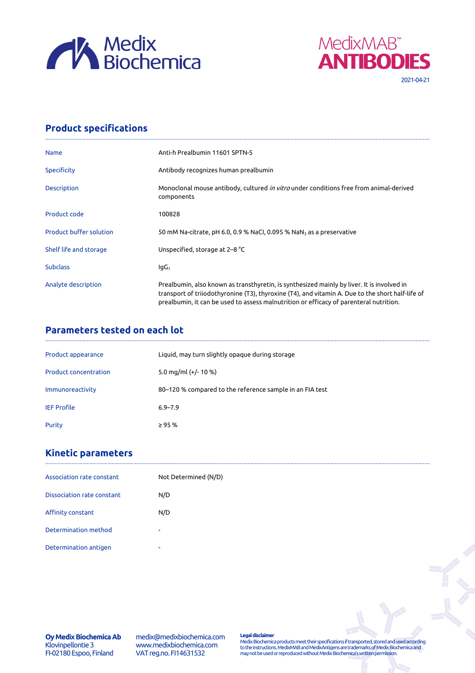



## **Product specifications**

| <b>Name</b>                    | Anti-h Prealbumin 11601 SPTN-5                                                                                                                                                                                                                                                           |  |  |
|--------------------------------|------------------------------------------------------------------------------------------------------------------------------------------------------------------------------------------------------------------------------------------------------------------------------------------|--|--|
| Specificity                    | Antibody recognizes human prealbumin                                                                                                                                                                                                                                                     |  |  |
| <b>Description</b>             | Monoclonal mouse antibody, cultured <i>in vitro</i> under conditions free from animal-derived<br>components                                                                                                                                                                              |  |  |
| Product code                   | 100828                                                                                                                                                                                                                                                                                   |  |  |
| <b>Product buffer solution</b> | 50 mM Na-citrate, pH 6.0, 0.9 % NaCl, 0.095 % NaN <sub>3</sub> as a preservative                                                                                                                                                                                                         |  |  |
| Shelf life and storage         | Unspecified, storage at 2–8 °C                                                                                                                                                                                                                                                           |  |  |
| <b>Subclass</b>                | lgG <sub>1</sub>                                                                                                                                                                                                                                                                         |  |  |
| Analyte description            | Prealbumin, also known as transthyretin, is synthesized mainly by liver. It is involved in<br>transport of triiodothyronine (T3), thyroxine (T4), and vitamin A. Due to the short half-life of<br>prealbumin, it can be used to assess malnutrition or efficacy of parenteral nutrition. |  |  |

## **Parameters tested on each lot**

| Product appearance           | Liquid, may turn slightly opaque during storage          |
|------------------------------|----------------------------------------------------------|
| <b>Product concentration</b> | 5.0 mg/ml $(+/- 10 %$                                    |
| Immunoreactivity             | 80–120 % compared to the reference sample in an FIA test |
| <b>IEF Profile</b>           | $6.9 - 7.9$                                              |
| Purity                       | $\geq$ 95 %                                              |

## **Kinetic parameters**

| Association rate constant         | Not Determined (N/D)     |
|-----------------------------------|--------------------------|
| <b>Dissociation rate constant</b> | N/D                      |
| Affinity constant                 | N/D                      |
| Determination method              | ۰                        |
| Determination antigen             | $\overline{\phantom{a}}$ |

**Oy Medix Biochemica Ab** Klovinpellontie 3 FI-02180 Espoo, Finland

medix@medixbiochemica.com www.medixbiochemica.com VAT reg.no. FI14631532

**Legal disclaimer** Medix Biochemica products meet their specifications if transported, stored and used according to the instructions. MedixMAB and MedixAntigens are trademarks of Medix Biochemica and may not be used or reproduced without Medix Biochemica's written permission.